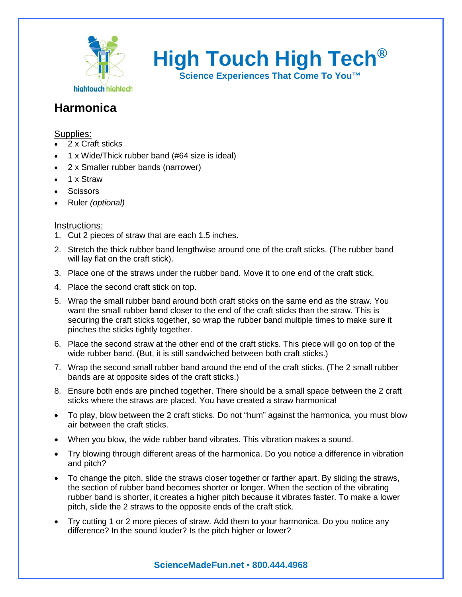

**High Touch High Tech®**

**Science Experiences That Come To You™**

## **Harmonica**

### Supplies:

- 2 x Craft sticks
- 1 x Wide/Thick rubber band (#64 size is ideal)
- 2 x Smaller rubber bands (narrower)
- 1 x Straw
- **Scissors**
- Ruler *(optional)*

#### Instructions:

- 1. Cut 2 pieces of straw that are each 1.5 inches.
- 2. Stretch the thick rubber band lengthwise around one of the craft sticks. (The rubber band will lay flat on the craft stick).
- 3. Place one of the straws under the rubber band. Move it to one end of the craft stick.
- 4. Place the second craft stick on top.
- 5. Wrap the small rubber band around both craft sticks on the same end as the straw. You want the small rubber band closer to the end of the craft sticks than the straw. This is securing the craft sticks together, so wrap the rubber band multiple times to make sure it pinches the sticks tightly together.
- 6. Place the second straw at the other end of the craft sticks. This piece will go on top of the wide rubber band. (But, it is still sandwiched between both craft sticks.)
- 7. Wrap the second small rubber band around the end of the craft sticks. (The 2 small rubber bands are at opposite sides of the craft sticks.)
- 8. Ensure both ends are pinched together. There should be a small space between the 2 craft sticks where the straws are placed. You have created a straw harmonica!
- To play, blow between the 2 craft sticks. Do not "hum" against the harmonica, you must blow air between the craft sticks.
- When you blow, the wide rubber band vibrates. This vibration makes a sound.
- Try blowing through different areas of the harmonica. Do you notice a difference in vibration and pitch?
- To change the pitch, slide the straws closer together or farther apart. By sliding the straws, the section of rubber band becomes shorter or longer. When the section of the vibrating rubber band is shorter, it creates a higher pitch because it vibrates faster. To make a lower pitch, slide the 2 straws to the opposite ends of the craft stick.
- Try cutting 1 or 2 more pieces of straw. Add them to your harmonica. Do you notice any difference? In the sound louder? Is the pitch higher or lower?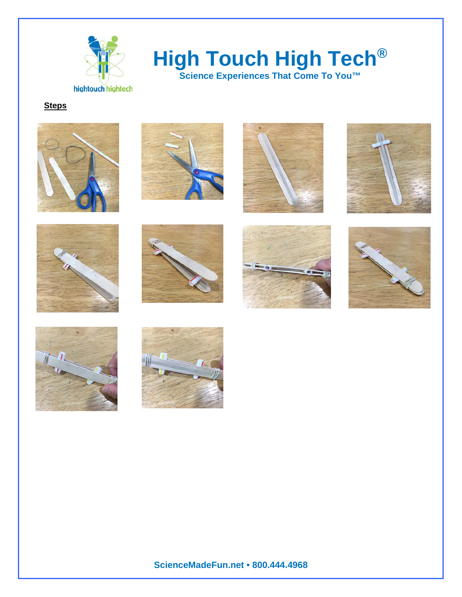

# **High Touch High Tech®**

**Science Experiences That Come To You™**

**Steps**





















**ScienceMadeFun.net • 800.444.4968**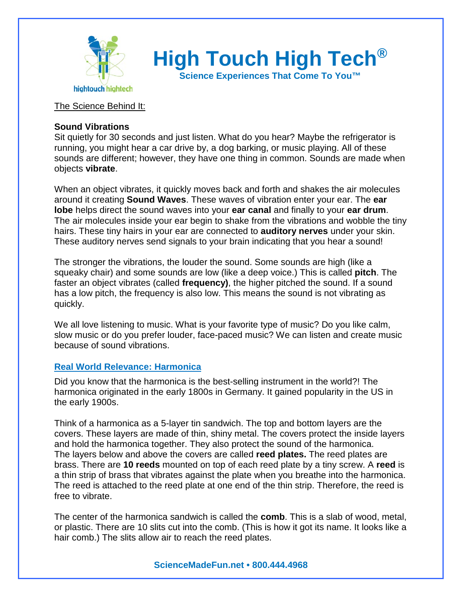

**High Touch High Tech®**

**Science Experiences That Come To You™**

#### The Science Behind It:

#### **Sound Vibrations**

Sit quietly for 30 seconds and just listen. What do you hear? Maybe the refrigerator is running, you might hear a car drive by, a dog barking, or music playing. All of these sounds are different; however, they have one thing in common. Sounds are made when objects **vibrate**.

When an object vibrates, it quickly moves back and forth and shakes the air molecules around it creating **Sound Waves**. These waves of vibration enter your ear. The **ear lobe** helps direct the sound waves into your **ear canal** and finally to your **ear drum**. The air molecules inside your ear begin to shake from the vibrations and wobble the tiny hairs. These tiny hairs in your ear are connected to **auditory nerves** under your skin. These auditory nerves send signals to your brain indicating that you hear a sound!

The stronger the vibrations, the louder the sound. Some sounds are high (like a squeaky chair) and some sounds are low (like a deep voice.) This is called **pitch**. The faster an object vibrates (called **frequency)**, the higher pitched the sound. If a sound has a low pitch, the frequency is also low. This means the sound is not vibrating as quickly.

We all love listening to music. What is your favorite type of music? Do you like calm, slow music or do you prefer louder, face-paced music? We can listen and create music because of sound vibrations.

#### **Real World Relevance: Harmonica**

Did you know that the harmonica is the best-selling instrument in the world?! The harmonica originated in the early 1800s in Germany. It gained popularity in the US in the early 1900s.

Think of a harmonica as a 5-layer tin sandwich. The top and bottom layers are the covers. These layers are made of thin, shiny metal. The covers protect the inside layers and hold the harmonica together. They also protect the sound of the harmonica. The layers below and above the covers are called **reed plates.** The reed plates are brass. There are **10 reeds** mounted on top of each reed plate by a tiny screw. A **reed** is a thin strip of brass that vibrates against the plate when you breathe into the harmonica. The reed is attached to the reed plate at one end of the thin strip. Therefore, the reed is free to vibrate.

The center of the harmonica sandwich is called the **comb**. This is a slab of wood, metal, or plastic. There are 10 slits cut into the comb. (This is how it got its name. It looks like a hair comb.) The slits allow air to reach the reed plates.

#### **ScienceMadeFun.net • 800.444.4968**